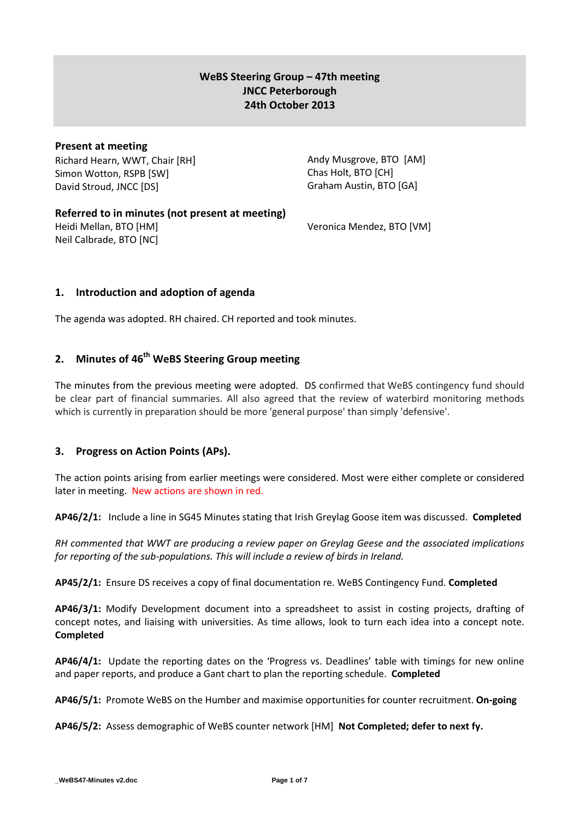# **WeBS Steering Group – 47th meeting JNCC Peterborough 24th October 2013**

# **Present at meeting**

Richard Hearn, WWT, Chair [RH] Simon Wotton, RSPB [SW] David Stroud, JNCC [DS]

Andy Musgrove, BTO [AM] Chas Holt, BTO [CH] Graham Austin, BTO [GA]

# **Referred to in minutes (not present at meeting)**

Heidi Mellan, BTO [HM] Neil Calbrade, BTO [NC] Veronica Mendez, BTO [VM]

# **1. Introduction and adoption of agenda**

The agenda was adopted. RH chaired. CH reported and took minutes.

# **2. Minutes of 46 th WeBS Steering Group meeting**

The minutes from the previous meeting were adopted. DS confirmed that WeBS contingency fund should be clear part of financial summaries. All also agreed that the review of waterbird monitoring methods which is currently in preparation should be more 'general purpose' than simply 'defensive'.

# **3. Progress on Action Points (APs).**

The action points arising from earlier meetings were considered. Most were either complete or considered later in meeting. New actions are shown in red.

**AP46/2/1:** Include a line in SG45 Minutes stating that Irish Greylag Goose item was discussed. **Completed**

*RH commented that WWT are producing a review paper on Greylag Geese and the associated implications for reporting of the sub-populations. This will include a review of birds in Ireland.*

**AP45/2/1:** Ensure DS receives a copy of final documentation re. WeBS Contingency Fund. **Completed**

**AP46/3/1:** Modify Development document into a spreadsheet to assist in costing projects, drafting of concept notes, and liaising with universities. As time allows, look to turn each idea into a concept note. **Completed**

**AP46/4/1:** Update the reporting dates on the 'Progress vs. Deadlines' table with timings for new online and paper reports, and produce a Gant chart to plan the reporting schedule. **Completed**

**AP46/5/1:** Promote WeBS on the Humber and maximise opportunities for counter recruitment. **On-going**

**AP46/5/2:** Assess demographic of WeBS counter network [HM] **Not Completed; defer to next fy.**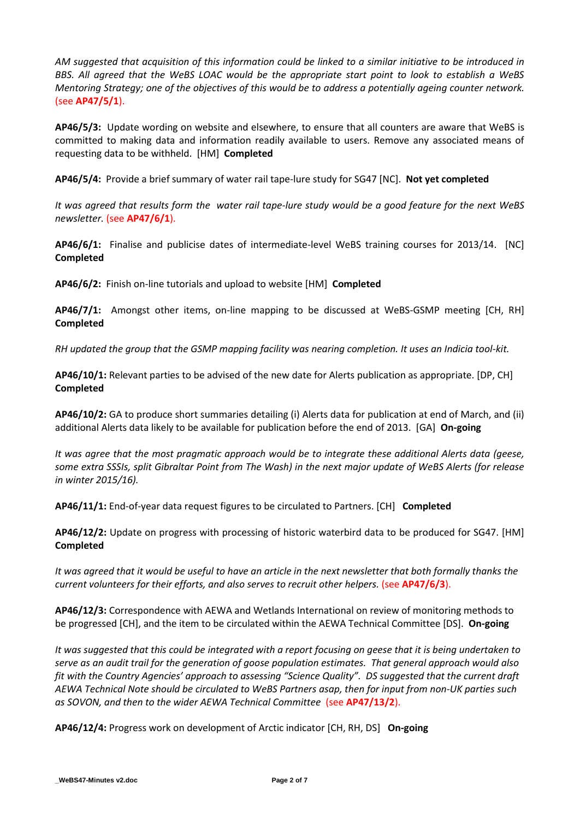*AM suggested that acquisition of this information could be linked to a similar initiative to be introduced in BBS. All agreed that the WeBS LOAC would be the appropriate start point to look to establish a WeBS Mentoring Strategy; one of the objectives of this would be to address a potentially ageing counter network.* (see **AP47/5/1**).

**AP46/5/3:** Update wording on website and elsewhere, to ensure that all counters are aware that WeBS is committed to making data and information readily available to users. Remove any associated means of requesting data to be withheld. [HM] **Completed**

**AP46/5/4:** Provide a brief summary of water rail tape-lure study for SG47 [NC]. **Not yet completed**

*It was agreed that results form the water rail tape-lure study would be a good feature for the next WeBS newsletter.* (see **AP47/6/1**).

**AP46/6/1:** Finalise and publicise dates of intermediate-level WeBS training courses for 2013/14. [NC] **Completed**

**AP46/6/2:** Finish on-line tutorials and upload to website [HM] **Completed**

**AP46/7/1:** Amongst other items, on-line mapping to be discussed at WeBS-GSMP meeting [CH, RH] **Completed**

*RH updated the group that the GSMP mapping facility was nearing completion. It uses an Indicia tool-kit.*

**AP46/10/1:** Relevant parties to be advised of the new date for Alerts publication as appropriate. [DP, CH] **Completed**

**AP46/10/2:** GA to produce short summaries detailing (i) Alerts data for publication at end of March, and (ii) additional Alerts data likely to be available for publication before the end of 2013. [GA] **On-going**

*It was agree that the most pragmatic approach would be to integrate these additional Alerts data (geese, some extra SSSIs, split Gibraltar Point from The Wash) in the next major update of WeBS Alerts (for release in winter 2015/16).*

**AP46/11/1:** End-of-year data request figures to be circulated to Partners. [CH] **Completed** 

**AP46/12/2:** Update on progress with processing of historic waterbird data to be produced for SG47. [HM] **Completed**

*It was agreed that it would be useful to have an article in the next newsletter that both formally thanks the current volunteers for their efforts, and also serves to recruit other helpers.* (see **AP47/6/3**).

**AP46/12/3:** Correspondence with AEWA and Wetlands International on review of monitoring methods to be progressed [CH], and the item to be circulated within the AEWA Technical Committee [DS]. **On-going**

*It was suggested that this could be integrated with a report focusing on geese that it is being undertaken to serve as an audit trail for the generation of goose population estimates. That general approach would also fit with the Country Agencies' approach to assessing "Science Quality". DS suggested that the current draft AEWA Technical Note should be circulated to WeBS Partners asap, then for input from non-UK parties such as SOVON, and then to the wider AEWA Technical Committee* (see **AP47/13/2**).

**AP46/12/4:** Progress work on development of Arctic indicator [CH, RH, DS] **On-going**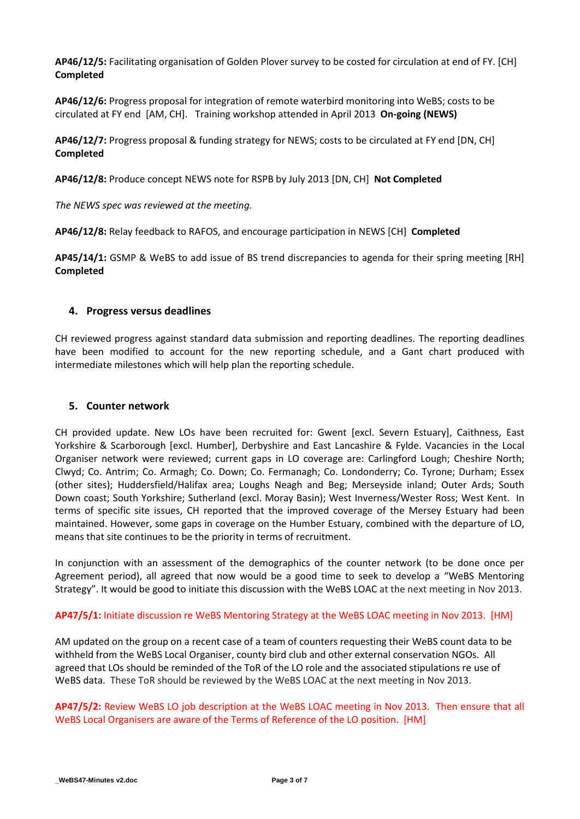**AP46/12/5:** Facilitating organisation of Golden Plover survey to be costed for circulation at end of FY. [CH] **Completed**

**AP46/12/6:** Progress proposal for integration of remote waterbird monitoring into WeBS; costs to be circulated at FY end [AM, CH]. Training workshop attended in April 2013 **On-going (NEWS)**

**AP46/12/7:** Progress proposal & funding strategy for NEWS; costs to be circulated at FY end [DN, CH] **Completed**

**AP46/12/8:** Produce concept NEWS note for RSPB by July 2013 [DN, CH] **Not Completed** 

*The NEWS spec was reviewed at the meeting.*

**AP46/12/8:** Relay feedback to RAFOS, and encourage participation in NEWS [CH] **Completed**

**AP45/14/1:** GSMP & WeBS to add issue of BS trend discrepancies to agenda for their spring meeting [RH] **Completed**

#### **4. Progress versus deadlines**

CH reviewed progress against standard data submission and reporting deadlines. The reporting deadlines have been modified to account for the new reporting schedule, and a Gant chart produced with intermediate milestones which will help plan the reporting schedule.

#### **5. Counter network**

CH provided update. New LOs have been recruited for: Gwent [excl. Severn Estuary], Caithness, East Yorkshire & Scarborough [excl. Humber], Derbyshire and East Lancashire & Fylde. Vacancies in the Local Organiser network were reviewed; current gaps in LO coverage are: Carlingford Lough; Cheshire North; Clwyd; Co. Antrim; Co. Armagh; Co. Down; Co. Fermanagh; Co. Londonderry; Co. Tyrone; Durham; Essex (other sites); Huddersfield/Halifax area; Loughs Neagh and Beg; Merseyside inland; Outer Ards; South Down coast; South Yorkshire; Sutherland (excl. Moray Basin); West Inverness/Wester Ross; West Kent. In terms of specific site issues, CH reported that the improved coverage of the Mersey Estuary had been maintained. However, some gaps in coverage on the Humber Estuary, combined with the departure of LO, means that site continues to be the priority in terms of recruitment.

In conjunction with an assessment of the demographics of the counter network (to be done once per Agreement period), all agreed that now would be a good time to seek to develop a "WeBS Mentoring Strategy". It would be good to initiate this discussion with the WeBS LOAC at the next meeting in Nov 2013.

### **AP47/5/1:** Initiate discussion re WeBS Mentoring Strategy at the WeBS LOAC meeting in Nov 2013. [HM]

AM updated on the group on a recent case of a team of counters requesting their WeBS count data to be withheld from the WeBS Local Organiser, county bird club and other external conservation NGOs. All agreed that LOs should be reminded of the ToR of the LO role and the associated stipulations re use of WeBS data. These ToR should be reviewed by the WeBS LOAC at the next meeting in Nov 2013.

## **AP47/5/2:** Review WeBS LO job description at the WeBS LOAC meeting in Nov 2013. Then ensure that all WeBS Local Organisers are aware of the Terms of Reference of the LO position. [HM]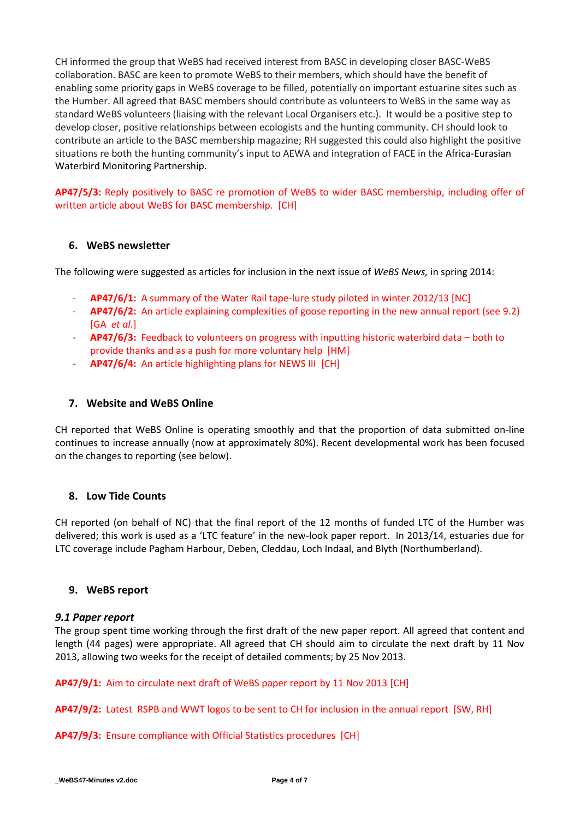CH informed the group that WeBS had received interest from BASC in developing closer BASC-WeBS collaboration. BASC are keen to promote WeBS to their members, which should have the benefit of enabling some priority gaps in WeBS coverage to be filled, potentially on important estuarine sites such as the Humber. All agreed that BASC members should contribute as volunteers to WeBS in the same way as standard WeBS volunteers (liaising with the relevant Local Organisers etc.). It would be a positive step to develop closer, positive relationships between ecologists and the hunting community. CH should look to contribute an article to the BASC membership magazine; RH suggested this could also highlight the positive situations re both the hunting community's input to AEWA and integration of FACE in the Africa-Eurasian Waterbird Monitoring Partnership.

**AP47/5/3:** Reply positively to BASC re promotion of WeBS to wider BASC membership, including offer of written article about WeBS for BASC membership. [CH]

# **6. WeBS newsletter**

The following were suggested as articles for inclusion in the next issue of *WeBS News,* in spring 2014:

- **AP47/6/1:** A summary of the Water Rail tape-lure study piloted in winter 2012/13 [NC]
- **AP47/6/2:** An article explaining complexities of goose reporting in the new annual report (see 9.2) [GA *et al.*]
- **AP47/6/3:** Feedback to volunteers on progress with inputting historic waterbird data both to provide thanks and as a push for more voluntary help [HM]
- **AP47/6/4:** An article highlighting plans for NEWS III [CH]

## **7. Website and WeBS Online**

CH reported that WeBS Online is operating smoothly and that the proportion of data submitted on-line continues to increase annually (now at approximately 80%). Recent developmental work has been focused on the changes to reporting (see below).

# **8. Low Tide Counts**

CH reported (on behalf of NC) that the final report of the 12 months of funded LTC of the Humber was delivered; this work is used as a 'LTC feature' in the new-look paper report. In 2013/14, estuaries due for LTC coverage include Pagham Harbour, Deben, Cleddau, Loch Indaal, and Blyth (Northumberland).

### **9. WeBS report**

### *9.1 Paper report*

The group spent time working through the first draft of the new paper report. All agreed that content and length (44 pages) were appropriate. All agreed that CH should aim to circulate the next draft by 11 Nov 2013, allowing two weeks for the receipt of detailed comments; by 25 Nov 2013.

**AP47/9/1:** Aim to circulate next draft of WeBS paper report by 11 Nov 2013 [CH]

**AP47/9/2:** Latest RSPB and WWT logos to be sent to CH for inclusion in the annual report [SW, RH]

**AP47/9/3:** Ensure compliance with Official Statistics procedures [CH]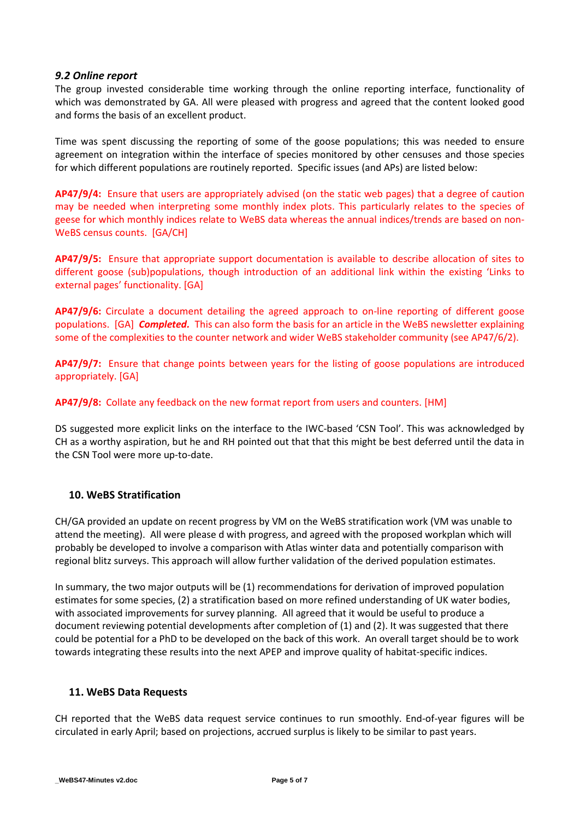### *9.2 Online report*

The group invested considerable time working through the online reporting interface, functionality of which was demonstrated by GA. All were pleased with progress and agreed that the content looked good and forms the basis of an excellent product.

Time was spent discussing the reporting of some of the goose populations; this was needed to ensure agreement on integration within the interface of species monitored by other censuses and those species for which different populations are routinely reported. Specific issues (and APs) are listed below:

**AP47/9/4:** Ensure that users are appropriately advised (on the static web pages) that a degree of caution may be needed when interpreting some monthly index plots. This particularly relates to the species of geese for which monthly indices relate to WeBS data whereas the annual indices/trends are based on non-WeBS census counts. [GA/CH]

**AP47/9/5:** Ensure that appropriate support documentation is available to describe allocation of sites to different goose (sub)populations, though introduction of an additional link within the existing 'Links to external pages' functionality. [GA]

**AP47/9/6:** Circulate a document detailing the agreed approach to on-line reporting of different goose populations. [GA] *Completed.* This can also form the basis for an article in the WeBS newsletter explaining some of the complexities to the counter network and wider WeBS stakeholder community (see AP47/6/2).

**AP47/9/7:** Ensure that change points between years for the listing of goose populations are introduced appropriately. [GA]

**AP47/9/8:** Collate any feedback on the new format report from users and counters. [HM]

DS suggested more explicit links on the interface to the IWC-based 'CSN Tool'. This was acknowledged by CH as a worthy aspiration, but he and RH pointed out that that this might be best deferred until the data in the CSN Tool were more up-to-date.

# **10. WeBS Stratification**

CH/GA provided an update on recent progress by VM on the WeBS stratification work (VM was unable to attend the meeting). All were please d with progress, and agreed with the proposed workplan which will probably be developed to involve a comparison with Atlas winter data and potentially comparison with regional blitz surveys. This approach will allow further validation of the derived population estimates.

In summary, the two major outputs will be (1) recommendations for derivation of improved population estimates for some species, (2) a stratification based on more refined understanding of UK water bodies, with associated improvements for survey planning. All agreed that it would be useful to produce a document reviewing potential developments after completion of (1) and (2). It was suggested that there could be potential for a PhD to be developed on the back of this work. An overall target should be to work towards integrating these results into the next APEP and improve quality of habitat-specific indices.

### **11. WeBS Data Requests**

CH reported that the WeBS data request service continues to run smoothly. End-of-year figures will be circulated in early April; based on projections, accrued surplus is likely to be similar to past years.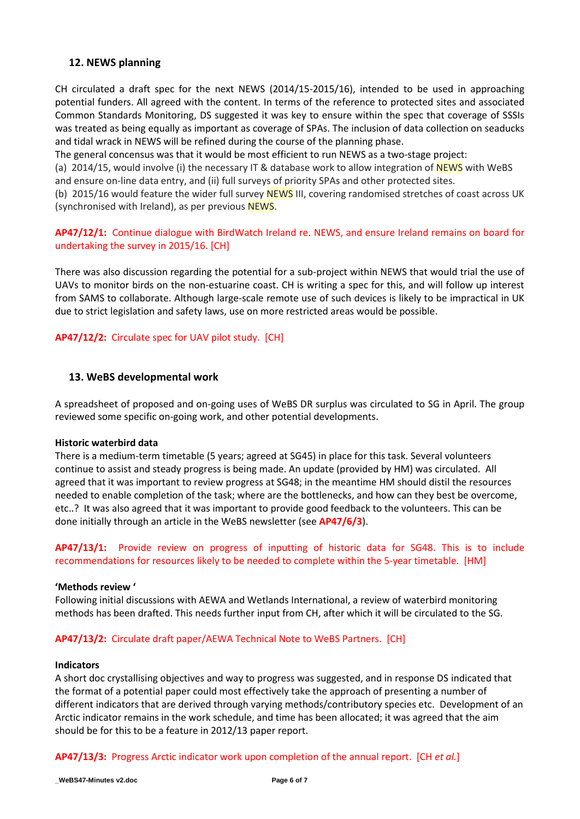# **12. NEWS planning**

CH circulated a draft spec for the next NEWS (2014/15-2015/16), intended to be used in approaching potential funders. All agreed with the content. In terms of the reference to protected sites and associated Common Standards Monitoring, DS suggested it was key to ensure within the spec that coverage of SSSIs was treated as being equally as important as coverage of SPAs. The inclusion of data collection on seaducks and tidal wrack in NEWS will be refined during the course of the planning phase.

The general concensus was that it would be most efficient to run NEWS as a two-stage project:

(a) 2014/15, would involve (i) the necessary IT & database work to allow integration of **NEWS** with WeBS and ensure on-line data entry, and (ii) full surveys of priority SPAs and other protected sites.

(b) 2015/16 would feature the wider full survey NEWS III, covering randomised stretches of coast across UK (synchronised with Ireland), as per previous NEWS.

# **AP47/12/1:** Continue dialogue with BirdWatch Ireland re. NEWS, and ensure Ireland remains on board for undertaking the survey in 2015/16. [CH]

There was also discussion regarding the potential for a sub-project within NEWS that would trial the use of UAVs to monitor birds on the non-estuarine coast. CH is writing a spec for this, and will follow up interest from SAMS to collaborate. Although large-scale remote use of such devices is likely to be impractical in UK due to strict legislation and safety laws, use on more restricted areas would be possible.

## **AP47/12/2:** Circulate spec for UAV pilot study. [CH]

## **13. WeBS developmental work**

A spreadsheet of proposed and on-going uses of WeBS DR surplus was circulated to SG in April. The group reviewed some specific on-going work, and other potential developments.

#### **Historic waterbird data**

There is a medium-term timetable (5 years; agreed at SG45) in place for this task. Several volunteers continue to assist and steady progress is being made. An update (provided by HM) was circulated. All agreed that it was important to review progress at SG48; in the meantime HM should distil the resources needed to enable completion of the task; where are the bottlenecks, and how can they best be overcome, etc..? It was also agreed that it was important to provide good feedback to the volunteers. This can be done initially through an article in the WeBS newsletter (see **AP47/6/3**).

**AP47/13/1:** Provide review on progress of inputting of historic data for SG48. This is to include recommendations for resources likely to be needed to complete within the 5-year timetable. [HM]

#### **'Methods review '**

Following initial discussions with AEWA and Wetlands International, a review of waterbird monitoring methods has been drafted. This needs further input from CH, after which it will be circulated to the SG.

### **AP47/13/2:** Circulate draft paper/AEWA Technical Note to WeBS Partners. [CH]

#### **Indicators**

A short doc crystallising objectives and way to progress was suggested, and in response DS indicated that the format of a potential paper could most effectively take the approach of presenting a number of different indicators that are derived through varying methods/contributory species etc. Development of an Arctic indicator remains in the work schedule, and time has been allocated; it was agreed that the aim should be for this to be a feature in 2012/13 paper report.

**AP47/13/3:** Progress Arctic indicator work upon completion of the annual report. [CH *et al.*]